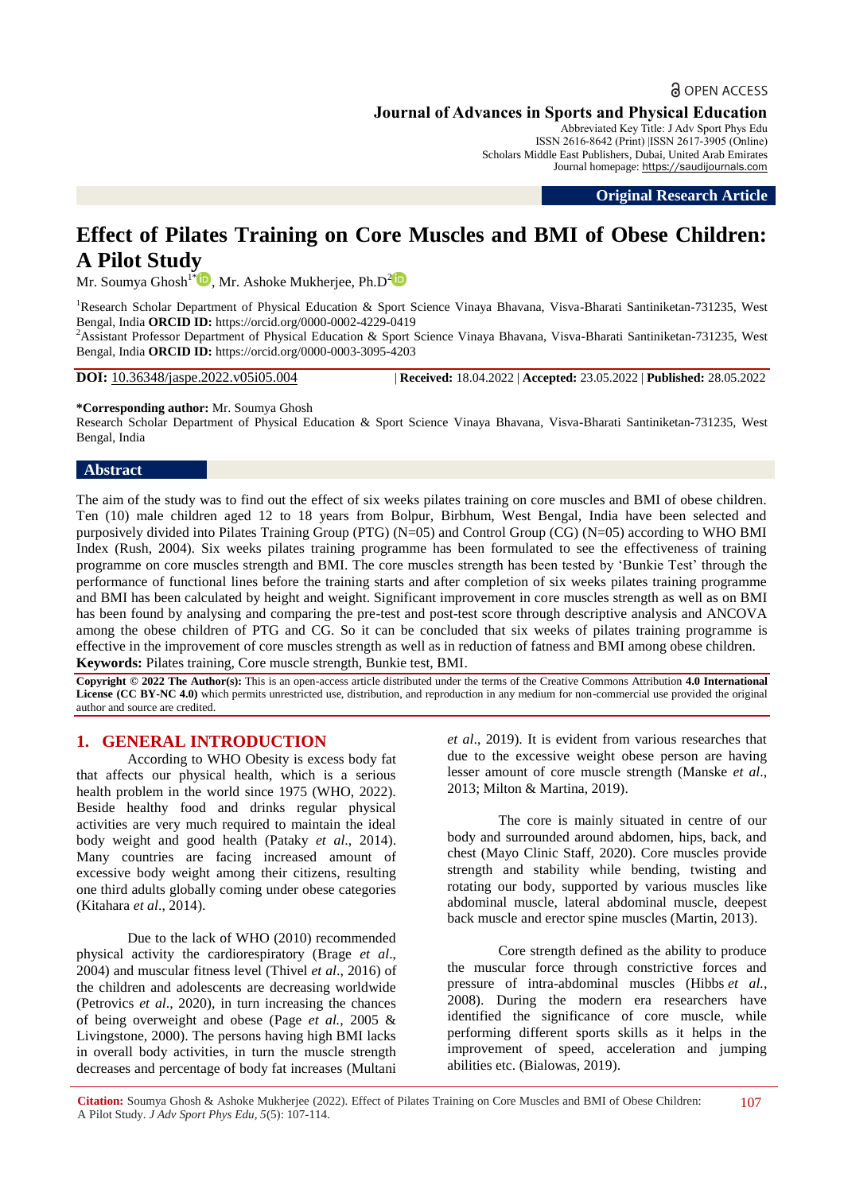## **a** OPEN ACCESS

**Journal of Advances in Sports and Physical Education**

Abbreviated Key Title: J Adv Sport Phys Edu ISSN 2616-8642 (Print) |ISSN 2617-3905 (Online) Scholars Middle East Publishers, Dubai, United Arab Emirates Journal homepage: [https://saudijournals.com](https://saudijournals.com/jaspe)

**Original Research Article**

# **Effect of Pilates Training on Core Muscles and BMI of Obese Children: A Pilot Study**

Mr. Soumya Ghosh<sup>1\*</sup> $\bullet$ , Mr. Ashoke Mukherjee, Ph.D<sup>2</sup> $\bullet$ 

<sup>1</sup>Research Scholar Department of Physical Education & Sport Science Vinaya Bhayana, Visva-Bharati Santiniketan-731235, West Bengal, India **ORCID ID:** https://orcid.org/0000-0002-4229-0419

<sup>2</sup>Assistant Professor Department of Physical Education & Sport Science Vinaya Bhavana, Visva-Bharati Santiniketan-731235, West Bengal, India **ORCID ID:** https://orcid.org/0000-0003-3095-4203

**DOI:** 10.36348/jaspe.2022.v05i05.004 | **Received:** 18.04.2022 | **Accepted:** 23.05.2022 | **Published:** 28.05.2022

**\*Corresponding author:** Mr. Soumya Ghosh

Research Scholar Department of Physical Education & Sport Science Vinaya Bhavana, Visva-Bharati Santiniketan-731235, West Bengal, India

#### **Abstract**

The aim of the study was to find out the effect of six weeks pilates training on core muscles and BMI of obese children. Ten (10) male children aged 12 to 18 years from Bolpur, Birbhum, West Bengal, India have been selected and purposively divided into Pilates Training Group (PTG) (N=05) and Control Group (CG) (N=05) according to WHO BMI Index (Rush, 2004). Six weeks pilates training programme has been formulated to see the effectiveness of training programme on core muscles strength and BMI. The core muscles strength has been tested by 'Bunkie Test' through the performance of functional lines before the training starts and after completion of six weeks pilates training programme and BMI has been calculated by height and weight. Significant improvement in core muscles strength as well as on BMI has been found by analysing and comparing the pre-test and post-test score through descriptive analysis and ANCOVA among the obese children of PTG and CG. So it can be concluded that six weeks of pilates training programme is effective in the improvement of core muscles strength as well as in reduction of fatness and BMI among obese children. **Keywords:** Pilates training, Core muscle strength, Bunkie test, BMI.

**Copyright © 2022 The Author(s):** This is an open-access article distributed under the terms of the Creative Commons Attribution **4.0 International License (CC BY-NC 4.0)** which permits unrestricted use, distribution, and reproduction in any medium for non-commercial use provided the original author and source are credited.

### **1. GENERAL INTRODUCTION**

According to WHO Obesity is excess body fat that affects our physical health, which is a serious health problem in the world since 1975 (WHO, 2022). Beside healthy food and drinks regular physical activities are very much required to maintain the ideal body weight and good health (Pataky *et al*., 2014). Many countries are facing increased amount of excessive body weight among their citizens, resulting one third adults globally coming under obese categories [\(Kitahara](https://www.ncbi.nlm.nih.gov/pmc/articles/PMC4934962/#b22-jer-12-3-182) *et al*., 2014).

Due to the lack of WHO (2010) recommended physical activity the cardiorespiratory (Brage *et al*., 2004) and muscular fitness level (Thivel *et al*., 2016) of the children and adolescents are decreasing worldwide (Petrovics *et al*., 2020), in turn increasing the chances of being overweight and obese (Page *et al.,* 2005 & Livingstone, 2000). The persons having high BMI lacks in overall body activities, in turn the muscle strength decreases and percentage of body fat increases (Multani

*et al*., 2019). It is evident from various researches that due to the excessive weight obese person are having lesser amount of core muscle strength (Manske *et al*., 2013; Milton & Martina, 2019).

The core is mainly situated in centre of our body and surrounded around abdomen, hips, back, and chest (Mayo Clinic Staff, 2020). Core muscles provide strength and stability while bending, twisting and rotating our body, supported by various muscles like abdominal muscle, lateral abdominal muscle, deepest back muscle and erector spine muscles (Martin, 2013).

Core strength defined as the ability to produce the muscular force through constrictive forces and pressure of intra-abdominal muscles (Hibbs *et al.,* 2008). During the modern era researchers have identified the significance of core muscle, while performing different sports skills as it helps in the improvement of speed, acceleration and jumping abilities etc. (Bialowas, 2019).

107

**Citation:** Soumya Ghosh & Ashoke Mukherjee (2022). Effect of Pilates Training on Core Muscles and BMI of Obese Children: A Pilot Study. *J Adv Sport Phys Edu, 5*(5): 107-114.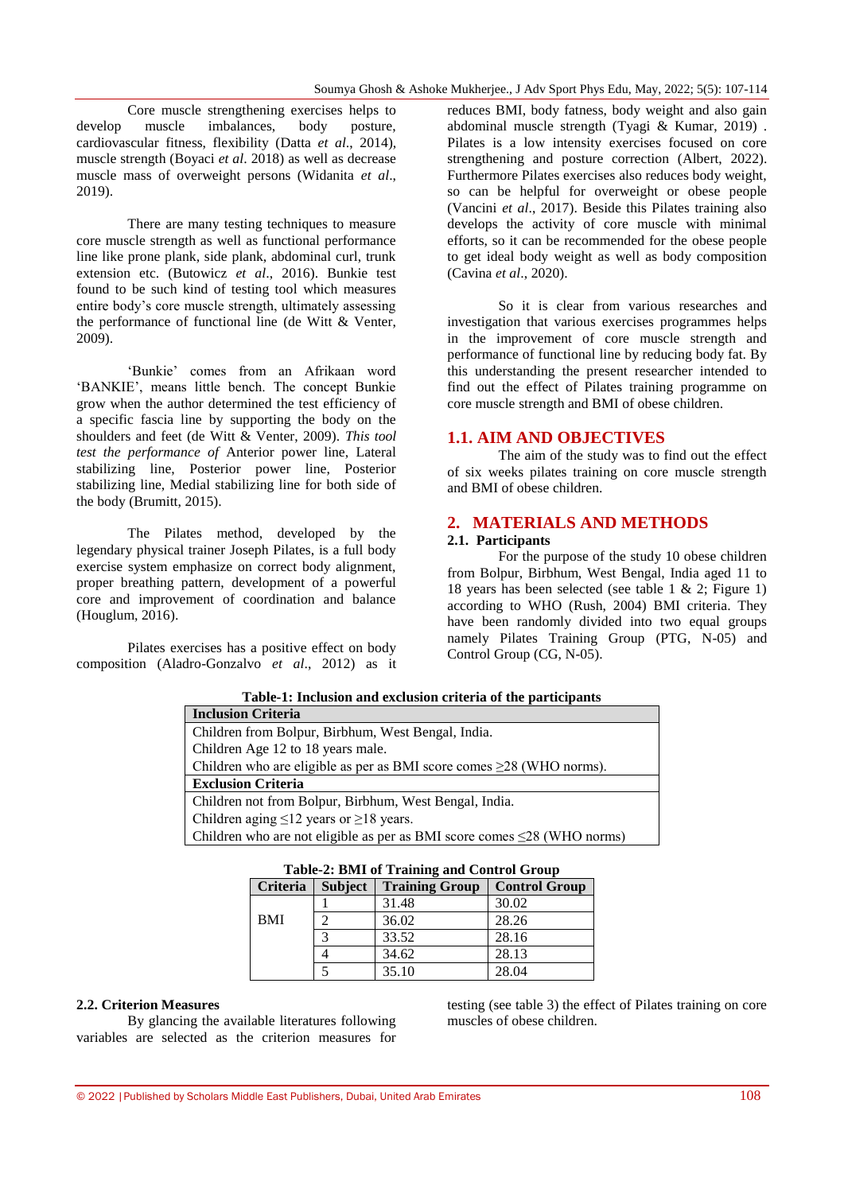Core muscle strengthening exercises helps to develop muscle imbalances, body posture, cardiovascular fitness, flexibility (Datta *et al*., 2014), muscle strength (Boyaci *et al*. 2018) as well as decrease muscle mass of overweight persons (Widanita *et al*., 2019).

There are many testing techniques to measure core muscle strength as well as functional performance line like prone plank, side plank, abdominal curl, trunk extension etc. (Butowicz *et al*., 2016). Bunkie test found to be such kind of testing tool which measures entire body's core muscle strength, ultimately assessing the performance of functional line (de Witt & Venter, 2009).

'Bunkie' comes from an Afrikaan word 'BANKIE', means little bench. The concept Bunkie grow when the author determined the test efficiency of a specific fascia line by supporting the body on the shoulders and feet (de Witt & Venter, 2009). *This tool test the performance of* Anterior power line, Lateral stabilizing line, Posterior power line, Posterior stabilizing line, Medial stabilizing line for both side of the body (Brumitt, 2015).

The Pilates method, developed by the legendary physical trainer Joseph Pilates, is a full body exercise system emphasize on correct body alignment, proper breathing pattern, development of a powerful core and improvement of coordination and balance (Houglum, 2016).

Pilates exercises has a positive effect on body composition (Aladro-Gonzalvo *et al*., 2012) as it reduces BMI, body fatness, body weight and also gain abdominal muscle strength (Tyagi & Kumar, 2019) . Pilates is a low intensity exercises focused on core strengthening and posture correction (Albert, 2022). Furthermore Pilates exercises also reduces body weight, so can be helpful for overweight or obese people (Vancini *et al*., 2017). Beside this Pilates training also develops the activity of core muscle with minimal efforts, so it can be recommended for the obese people to get ideal body weight as well as body composition (Cavina *et al*., 2020).

So it is clear from various researches and investigation that various exercises programmes helps in the improvement of core muscle strength and performance of functional line by reducing body fat. By this understanding the present researcher intended to find out the effect of Pilates training programme on core muscle strength and BMI of obese children.

## **1.1. AIM AND OBJECTIVES**

The aim of the study was to find out the effect of six weeks pilates training on core muscle strength and BMI of obese children.

## **2. MATERIALS AND METHODS**

#### **2.1. Participants**

For the purpose of the study 10 obese children from Bolpur, Birbhum, West Bengal, India aged 11 to 18 years has been selected (see table 1 & 2; Figure 1) according to WHO (Rush, 2004) BMI criteria. They have been randomly divided into two equal groups namely Pilates Training Group (PTG, N-05) and Control Group (CG, N-05).

| Table-1: Inclusion and exclusion criteria of the participants                 |  |  |  |  |  |
|-------------------------------------------------------------------------------|--|--|--|--|--|
| <b>Inclusion Criteria</b>                                                     |  |  |  |  |  |
| Children from Bolpur, Birbhum, West Bengal, India.                            |  |  |  |  |  |
| Children Age 12 to 18 years male.                                             |  |  |  |  |  |
| Children who are eligible as per as BMI score comes $\geq$ 28 (WHO norms).    |  |  |  |  |  |
| <b>Exclusion Criteria</b>                                                     |  |  |  |  |  |
| Children not from Bolpur, Birbhum, West Bengal, India.                        |  |  |  |  |  |
| Children aging $\leq 12$ years or $\geq 18$ years.                            |  |  |  |  |  |
| Children who are not eligible as per as BMI score comes $\leq$ 28 (WHO norms) |  |  |  |  |  |

| Table 2: Division stamming and control oroup |                |                       |                      |  |  |  |  |  |
|----------------------------------------------|----------------|-----------------------|----------------------|--|--|--|--|--|
| Criteria                                     | <b>Subject</b> | <b>Training Group</b> | <b>Control Group</b> |  |  |  |  |  |
|                                              |                | 31.48                 | 30.02                |  |  |  |  |  |
| <b>BMI</b>                                   |                | 36.02                 | 28.26                |  |  |  |  |  |
|                                              |                | 33.52                 | 28.16                |  |  |  |  |  |
|                                              |                | 34.62                 | 28.13                |  |  |  |  |  |
|                                              |                | 35.10                 | 28.04                |  |  |  |  |  |

## **Table-2: BMI of Training and Control Group**

#### **2.2. Criterion Measures**

By glancing the available literatures following variables are selected as the criterion measures for testing (see table 3) the effect of Pilates training on core muscles of obese children.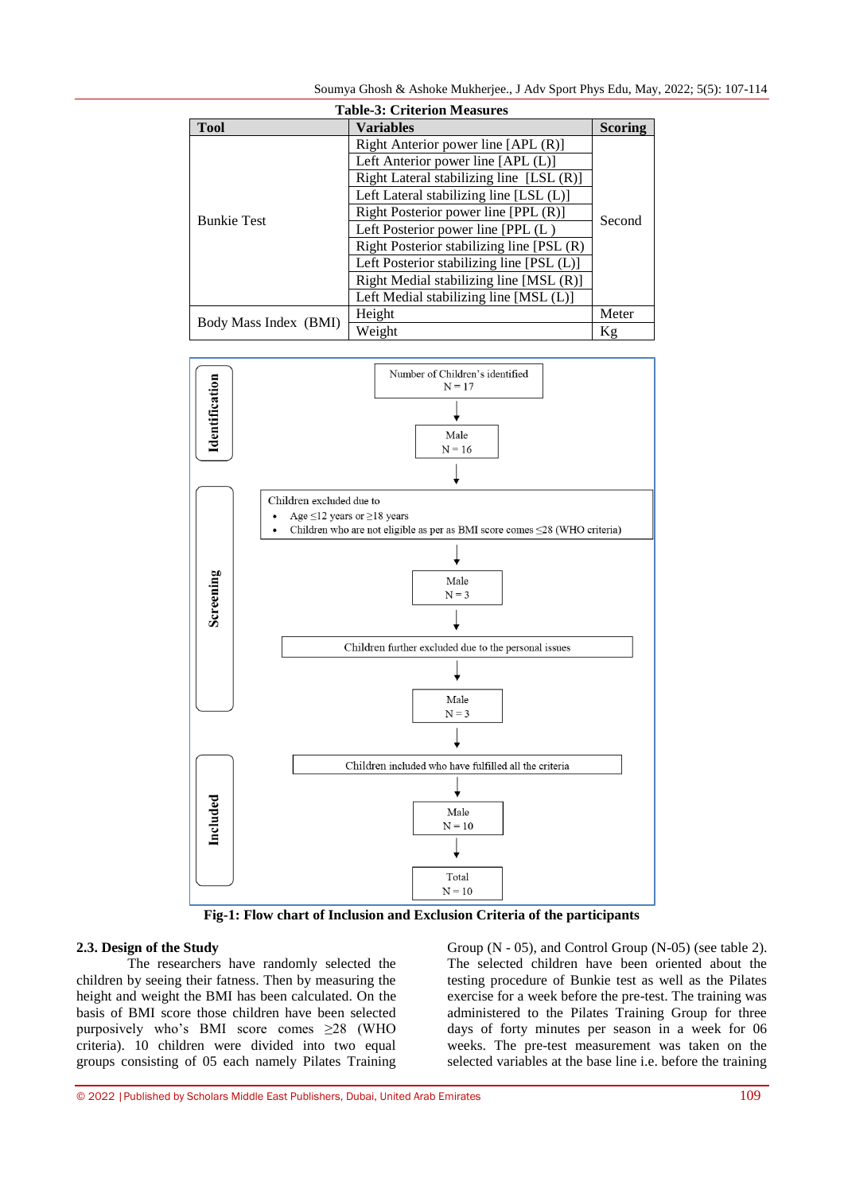Soumya Ghosh & Ashoke Mukherjee., J Adv Sport Phys Edu, May, 2022; 5(5): 107-114

| <b>Table-3: Criterion Measures</b> |                                           |                |  |  |  |  |
|------------------------------------|-------------------------------------------|----------------|--|--|--|--|
| Tool                               | <b>Variables</b>                          | <b>Scoring</b> |  |  |  |  |
|                                    | Right Anterior power line [APL (R)]       |                |  |  |  |  |
|                                    | Left Anterior power line [APL (L)]        |                |  |  |  |  |
|                                    | Right Lateral stabilizing line [LSL (R)]  |                |  |  |  |  |
|                                    | Left Lateral stabilizing line [LSL (L)]   | Second         |  |  |  |  |
| <b>Bunkie Test</b>                 | Right Posterior power line [PPL (R)]      |                |  |  |  |  |
|                                    | Left Posterior power line [PPL (L)        |                |  |  |  |  |
|                                    | Right Posterior stabilizing line [PSL (R) |                |  |  |  |  |
|                                    | Left Posterior stabilizing line [PSL (L)] |                |  |  |  |  |
|                                    | Right Medial stabilizing line [MSL (R)]   |                |  |  |  |  |
|                                    | Left Medial stabilizing line [MSL (L)]    |                |  |  |  |  |
| Body Mass Index (BMI)              | Height                                    | Meter          |  |  |  |  |
|                                    | Weight                                    | Кg             |  |  |  |  |



**Fig-1: Flow chart of Inclusion and Exclusion Criteria of the participants**

#### **2.3. Design of the Study**

The researchers have randomly selected the children by seeing their fatness. Then by measuring the height and weight the BMI has been calculated. On the basis of BMI score those children have been selected purposively who's BMI score comes ≥28 (WHO criteria). 10 children were divided into two equal groups consisting of 05 each namely Pilates Training

Group (N - 05), and Control Group (N-05) (see table 2). The selected children have been oriented about the testing procedure of Bunkie test as well as the Pilates exercise for a week before the pre-test. The training was administered to the Pilates Training Group for three days of forty minutes per season in a week for 06 weeks. The pre-test measurement was taken on the selected variables at the base line i.e. before the training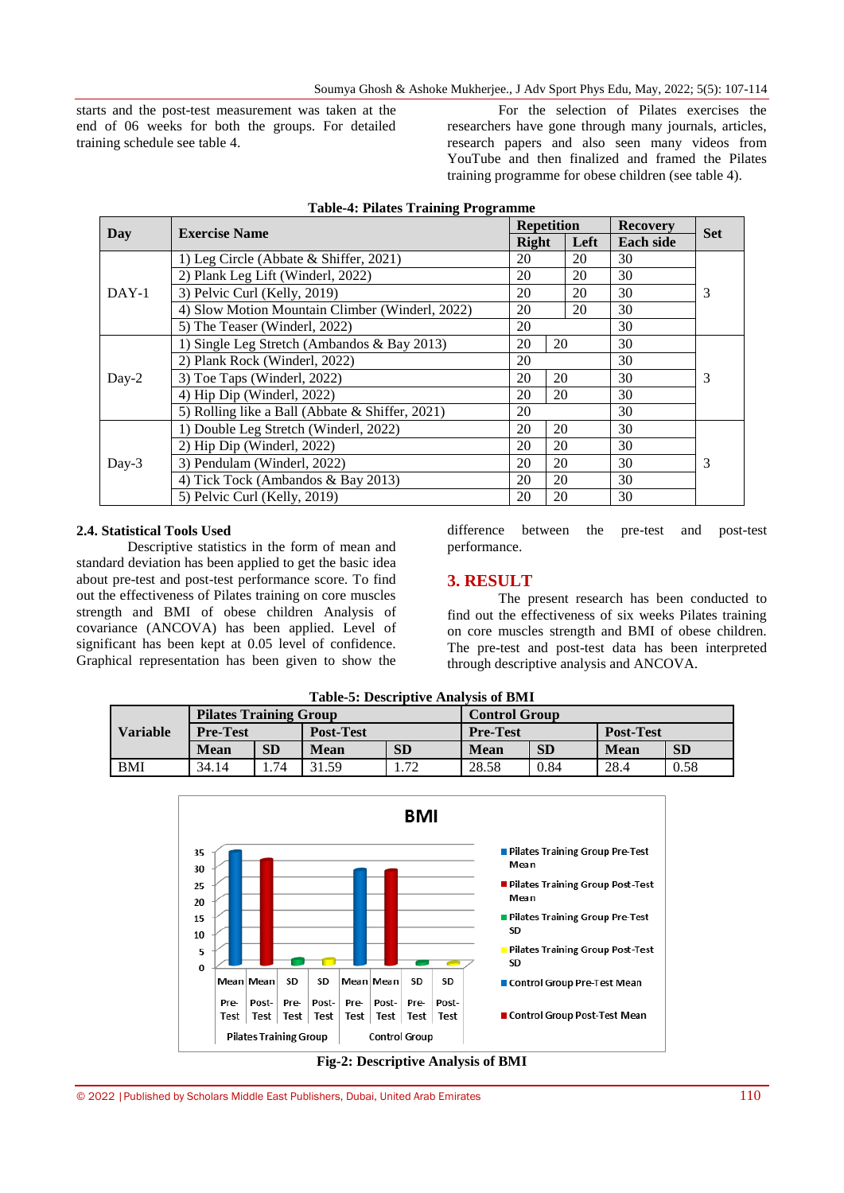starts and the post-test measurement was taken at the end of 06 weeks for both the groups. For detailed training schedule see table 4.

For the selection of Pilates exercises the researchers have gone through many journals, articles, research papers and also seen many videos from YouTube and then finalized and framed the Pilates training programme for obese children (see table 4).

|         | <b>Exercise Name</b>                            | <b>Repetition</b> |      | <b>Recovery</b>  | <b>Set</b> |
|---------|-------------------------------------------------|-------------------|------|------------------|------------|
| Day     |                                                 | <b>Right</b>      | Left | <b>Each side</b> |            |
|         | 1) Leg Circle (Abbate & Shiffer, 2021)          | 20                | 20   | 30               |            |
|         | 2) Plank Leg Lift (Winderl, 2022)               | 20                | 20   | 30               |            |
| $DAY-1$ | 3) Pelvic Curl (Kelly, 2019)                    | 20                | 20   | 30               | 3          |
|         | 4) Slow Motion Mountain Climber (Winderl, 2022) | 20                | 20   | 30               |            |
|         | 5) The Teaser (Winderl, 2022)                   | 20                |      | 30               |            |
|         | 1) Single Leg Stretch (Ambandos & Bay 2013)     |                   | 20   | 30               |            |
|         | 2) Plank Rock (Winderl, 2022)                   |                   |      | 30               |            |
| $Day-2$ | 3) Toe Taps (Winderl, 2022)                     |                   | 20   | 30               | 3          |
|         | 4) Hip Dip (Winderl, 2022)                      |                   | 20   | 30               |            |
|         | 5) Rolling like a Ball (Abbate & Shiffer, 2021) |                   |      | 30               |            |
|         | 1) Double Leg Stretch (Winderl, 2022)           | 20                | 20   | 30               |            |
| $Day-3$ | 2) Hip Dip (Winderl, 2022)                      |                   | 20   | 30               |            |
|         | 3) Pendulam (Winderl, 2022)                     |                   | 20   | 30               | 3          |
|         | 4) Tick Tock (Ambandos & Bay 2013)              |                   | 20   | 30               |            |
|         | 5) Pelvic Curl (Kelly, 2019)                    | 20                | 20   | 30               |            |

|  | <b>Table-4: Pilates Training Programme</b> |
|--|--------------------------------------------|
|  |                                            |

#### **2.4. Statistical Tools Used**

Descriptive statistics in the form of mean and standard deviation has been applied to get the basic idea about pre-test and post-test performance score. To find out the effectiveness of Pilates training on core muscles strength and BMI of obese children Analysis of covariance (ANCOVA) has been applied. Level of significant has been kept at 0.05 level of confidence. Graphical representation has been given to show the

difference between the pre-test and post-test performance.

#### **3. RESULT**

The present research has been conducted to find out the effectiveness of six weeks Pilates training on core muscles strength and BMI of obese children. The pre-test and post-test data has been interpreted through descriptive analysis and ANCOVA.

| Table-9. Describuve Allarysis of Divit |                               |           |                  |           |                      |      |                  |           |  |
|----------------------------------------|-------------------------------|-----------|------------------|-----------|----------------------|------|------------------|-----------|--|
| <b>Variable</b>                        | <b>Pilates Training Group</b> |           |                  |           | <b>Control Group</b> |      |                  |           |  |
|                                        | <b>Pre-Test</b>               |           | <b>Post-Test</b> |           | <b>Pre-Test</b>      |      | <b>Post-Test</b> |           |  |
|                                        | Mean                          | <b>SD</b> | <b>Mean</b>      | <b>SD</b> | <b>Mean</b>          | SD   | Mean             | <b>SD</b> |  |
| <b>BMI</b>                             | 34.14                         | .74       | 31.59            | 1.72      | 28.58                | 0.84 | 28.4             | 0.58      |  |

**Table-5: Descriptive Analysis of BMI**



**Fig-2: Descriptive Analysis of BMI**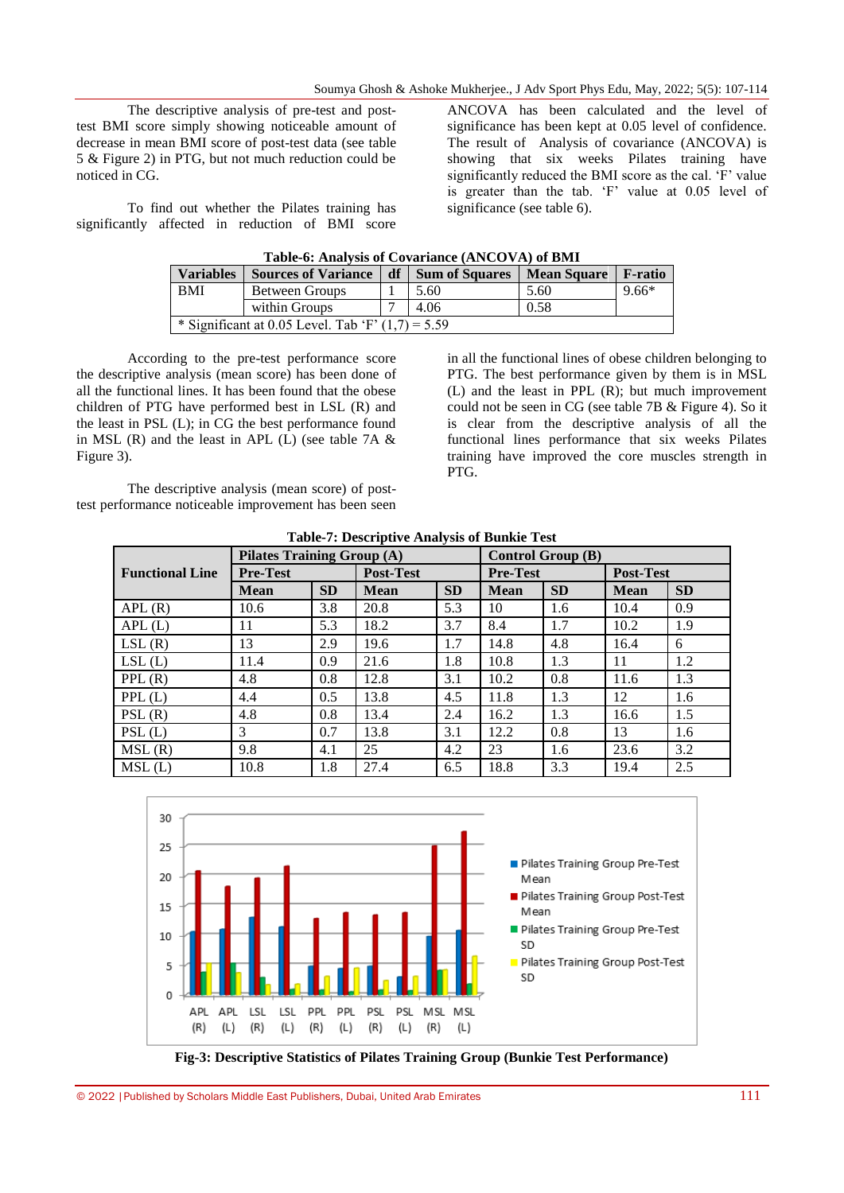The descriptive analysis of pre-test and posttest BMI score simply showing noticeable amount of decrease in mean BMI score of post-test data (see table 5 & Figure 2) in PTG, but not much reduction could be noticed in CG.

To find out whether the Pilates training has significantly affected in reduction of BMI score ANCOVA has been calculated and the level of significance has been kept at 0.05 level of confidence. The result of Analysis of covariance (ANCOVA) is showing that six weeks Pilates training have significantly reduced the BMI score as the cal. 'F' value is greater than the tab. 'F' value at 0.05 level of significance (see table 6).

| Table-0. Thin 1913 of Covariance (TriveOvir) of Divil |                                                     |  |                     |                    |                 |  |  |  |
|-------------------------------------------------------|-----------------------------------------------------|--|---------------------|--------------------|-----------------|--|--|--|
| <b>Variables</b>                                      | <b>Sources of Variance</b>                          |  | df   Sum of Squares | <b>Mean Square</b> | <b>F</b> -ratio |  |  |  |
| <b>BMI</b>                                            | Between Groups                                      |  | 5.60                | 5.60               | $9.66*$         |  |  |  |
|                                                       | within Groups                                       |  | 4.06                | 0.58               |                 |  |  |  |
|                                                       | * Significant at 0.05 Level. Tab 'F' $(1,7) = 5.59$ |  |                     |                    |                 |  |  |  |

**Table-6: Analysis of Covariance (ANCOVA) of BMI**

According to the pre-test performance score the descriptive analysis (mean score) has been done of all the functional lines. It has been found that the obese children of PTG have performed best in LSL (R) and the least in PSL (L); in CG the best performance found in MSL  $(R)$  and the least in APL  $(L)$  (see table 7A  $\&$ Figure 3).

The descriptive analysis (mean score) of posttest performance noticeable improvement has been seen

in all the functional lines of obese children belonging to PTG. The best performance given by them is in MSL (L) and the least in PPL (R); but much improvement could not be seen in CG (see table 7B & Figure 4). So it is clear from the descriptive analysis of all the functional lines performance that six weeks Pilates training have improved the core muscles strength in PTG.

| <b>Table-7: Descriptive Analysis of Bunkie Test</b>           |                 |           |                  |           |                 |           |                  |           |
|---------------------------------------------------------------|-----------------|-----------|------------------|-----------|-----------------|-----------|------------------|-----------|
| <b>Pilates Training Group (A)</b><br><b>Control Group (B)</b> |                 |           |                  |           |                 |           |                  |           |
| <b>Functional Line</b>                                        | <b>Pre-Test</b> |           | <b>Post-Test</b> |           | <b>Pre-Test</b> |           | <b>Post-Test</b> |           |
|                                                               | <b>Mean</b>     | <b>SD</b> | <b>Mean</b>      | <b>SD</b> | <b>Mean</b>     | <b>SD</b> | <b>Mean</b>      | <b>SD</b> |
| APL(R)                                                        | 10.6            | 3.8       | 20.8             | 5.3       | 10              | 1.6       | 10.4             | 0.9       |
| APL(L)                                                        | 11              | 5.3       | 18.2             | 3.7       | 8.4             | 1.7       | 10.2             | 1.9       |
| LSL(R)                                                        | 13              | 2.9       | 19.6             | 1.7       | 14.8            | 4.8       | 16.4             | 6         |
| LSL(L)                                                        | 11.4            | 0.9       | 21.6             | 1.8       | 10.8            | 1.3       | 11               | 1.2       |
| PPL(R)                                                        | 4.8             | 0.8       | 12.8             | 3.1       | 10.2            | 0.8       | 11.6             | 1.3       |
| PPL(L)                                                        | 4.4             | 0.5       | 13.8             | 4.5       | 11.8            | 1.3       | 12               | 1.6       |
| PSL(R)                                                        | 4.8             | 0.8       | 13.4             | 2.4       | 16.2            | 1.3       | 16.6             | 1.5       |
| PSL(L)                                                        | 3               | 0.7       | 13.8             | 3.1       | 12.2            | 0.8       | 13               | 1.6       |
| MSL(R)                                                        | 9.8             | 4.1       | 25               | 4.2       | 23              | 1.6       | 23.6             | 3.2       |
| MSL(L)                                                        | 10.8            | 1.8       | 27.4             | 6.5       | 18.8            | 3.3       | 19.4             | 2.5       |



**Fig-3: Descriptive Statistics of Pilates Training Group (Bunkie Test Performance)**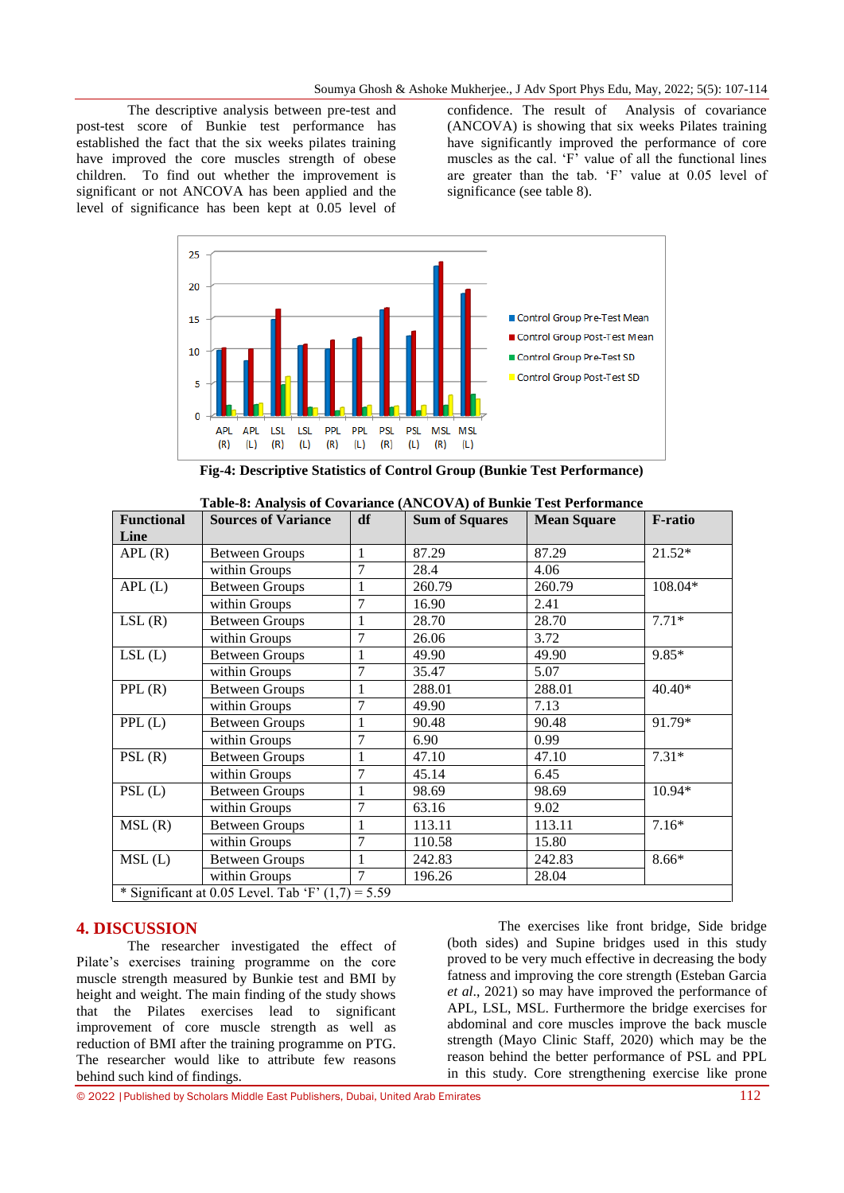The descriptive analysis between pre-test and post-test score of Bunkie test performance has established the fact that the six weeks pilates training have improved the core muscles strength of obese children. To find out whether the improvement is significant or not ANCOVA has been applied and the level of significance has been kept at 0.05 level of confidence. The result of Analysis of covariance (ANCOVA) is showing that six weeks Pilates training have significantly improved the performance of core muscles as the cal. 'F' value of all the functional lines are greater than the tab. 'F' value at 0.05 level of significance (see table 8).



**Fig-4: Descriptive Statistics of Control Group (Bunkie Test Performance)**

| <b>Functional</b>                                   | <b>Sources of Variance</b> | df             | <b>Sum of Squares</b> | <b>Mean Square</b> | <b>F-ratio</b> |  |  |
|-----------------------------------------------------|----------------------------|----------------|-----------------------|--------------------|----------------|--|--|
| Line                                                |                            |                |                       |                    |                |  |  |
| APL(R)                                              | <b>Between Groups</b>      | 1              | 87.29                 | 87.29              | $21.52*$       |  |  |
|                                                     | within Groups              | 7              | 28.4                  | 4.06               |                |  |  |
| APL(L)                                              | <b>Between Groups</b>      | 1              | 260.79                | 260.79             | 108.04*        |  |  |
|                                                     | within Groups              | $\overline{7}$ | 16.90                 | 2.41               |                |  |  |
| LSL(R)                                              | <b>Between Groups</b>      | 1              | 28.70                 | 28.70              | $7.71*$        |  |  |
|                                                     | within Groups              | 7              | 26.06                 | 3.72               |                |  |  |
| LSL(L)                                              | <b>Between Groups</b>      | 1              | 49.90                 | 49.90              | $9.85*$        |  |  |
|                                                     | within Groups              | $\overline{7}$ | 35.47                 | 5.07               |                |  |  |
| PPL(R)                                              | <b>Between Groups</b>      | 1              | 288.01                | 288.01             | $40.40*$       |  |  |
|                                                     | within Groups              | 7              | 49.90                 | 7.13               |                |  |  |
| PPL(L)                                              | <b>Between Groups</b>      | 1              | 90.48                 | 90.48              | 91.79*         |  |  |
|                                                     | within Groups              | 7              | 6.90                  | 0.99               |                |  |  |
| PSL(R)                                              | <b>Between Groups</b>      |                | 47.10                 | 47.10              | $7.31*$        |  |  |
|                                                     | within Groups              | 7              | 45.14                 | 6.45               |                |  |  |
| PSL(L)                                              | <b>Between Groups</b>      | 1              | 98.69                 | 98.69              | 10.94*         |  |  |
|                                                     | within Groups              | 7              | 63.16                 | 9.02               |                |  |  |
| MSL(R)                                              | <b>Between Groups</b>      | 1              | 113.11                | 113.11             | $7.16*$        |  |  |
|                                                     | within Groups              | 7              | 110.58                | 15.80              |                |  |  |
| MSL(L)                                              | <b>Between Groups</b>      | 1              | 242.83                | 242.83             | 8.66*          |  |  |
|                                                     | within Groups              | $\overline{7}$ | 196.26                | 28.04              |                |  |  |
| * Significant at 0.05 Level. Tab 'F' $(1,7) = 5.59$ |                            |                |                       |                    |                |  |  |

**Table-8: Analysis of Covariance (ANCOVA) of Bunkie Test Performance**

#### **4. DISCUSSION**

The researcher investigated the effect of Pilate's exercises training programme on the core muscle strength measured by Bunkie test and BMI by height and weight. The main finding of the study shows that the Pilates exercises lead to significant improvement of core muscle strength as well as reduction of BMI after the training programme on PTG. The researcher would like to attribute few reasons behind such kind of findings.

The exercises like front bridge, Side bridge (both sides) and Supine bridges used in this study proved to be very much effective in decreasing the body fatness and improving the core strength (Esteban Garcia *et al*., 2021) so may have improved the performance of APL, LSL, MSL. Furthermore the bridge exercises for abdominal and core muscles improve the back muscle strength (Mayo Clinic Staff, 2020) which may be the reason behind the better performance of PSL and PPL in this study. Core strengthening exercise like prone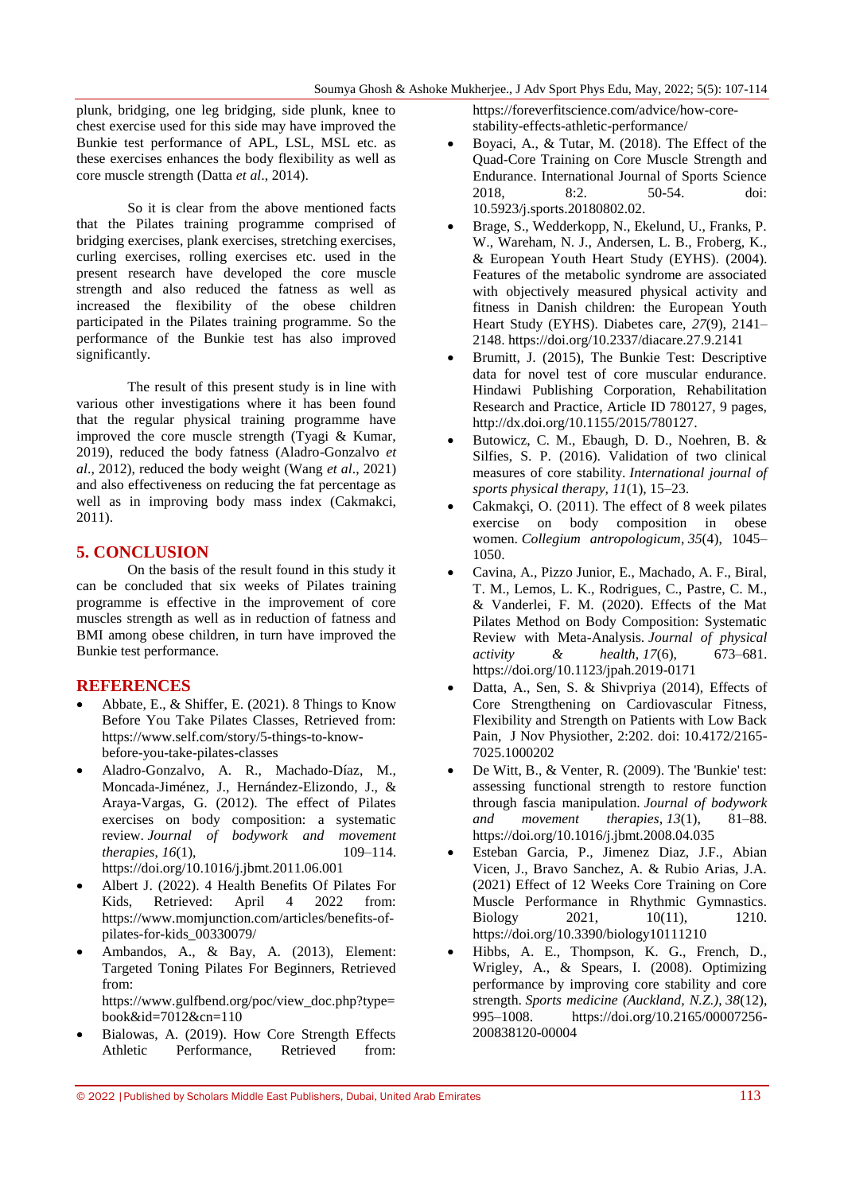plunk, bridging, one leg bridging, side plunk, knee to chest exercise used for this side may have improved the Bunkie test performance of APL, LSL, MSL etc. as these exercises enhances the body flexibility as well as core muscle strength (Datta *et al*., 2014).

So it is clear from the above mentioned facts that the Pilates training programme comprised of bridging exercises, plank exercises, stretching exercises, curling exercises, rolling exercises etc. used in the present research have developed the core muscle strength and also reduced the fatness as well as increased the flexibility of the obese children participated in the Pilates training programme. So the performance of the Bunkie test has also improved significantly.

The result of this present study is in line with various other investigations where it has been found that the regular physical training programme have improved the core muscle strength (Tyagi & Kumar, 2019), reduced the body fatness (Aladro-Gonzalvo *et al*., 2012), reduced the body weight (Wang *et al*., 2021) and also effectiveness on reducing the fat percentage as well as in improving body mass index (Cakmakci, 2011).

#### **5. CONCLUSION**

On the basis of the result found in this study it can be concluded that six weeks of Pilates training programme is effective in the improvement of core muscles strength as well as in reduction of fatness and BMI among obese children, in turn have improved the Bunkie test performance.

#### **REFERENCES**

- Abbate, E., & Shiffer, E. (2021). 8 Things to Know Before You Take Pilates Classes, Retrieved from: [https://www.self.com/story/5-things-to-know](https://www.self.com/story/5-things-to-know-before-you-take-pilates-classes)[before-you-take-pilates-classes](https://www.self.com/story/5-things-to-know-before-you-take-pilates-classes)
- Aladro-Gonzalvo, A. R., Machado-Díaz, M., Moncada-Jiménez, J., Hernández-Elizondo, J., & Araya-Vargas, G. (2012). The effect of Pilates exercises on body composition: a systematic review. *Journal of bodywork and movement therapies, 16(1),* 109–114. <https://doi.org/10.1016/j.jbmt.2011.06.001>
- Albert J. (2022). 4 Health Benefits Of Pilates For Kids, Retrieved: April 4 2022 from: [https://www.momjunction.com/articles/benefits-of](https://www.momjunction.com/articles/benefits-of-pilates-for-kids_00330079/)[pilates-for-kids\\_00330079/](https://www.momjunction.com/articles/benefits-of-pilates-for-kids_00330079/)
- Ambandos, A., & Bay, A. (2013), Element: Targeted Toning Pilates For Beginners, Retrieved from: [https://www.gulfbend.org/poc/view\\_doc.php?type=](https://www.gulfbend.org/poc/view_doc.php?type=book&id=7012&cn=110) [book&id=7012&cn=110](https://www.gulfbend.org/poc/view_doc.php?type=book&id=7012&cn=110)
- Bialowas, A. (2019). How Core Strength Effects Athletic Performance, Retrieved from:

[https://foreverfitscience.com/advice/how-core](https://foreverfitscience.com/advice/how-core-stability-effects-athletic-performance/)[stability-effects-athletic-performance/](https://foreverfitscience.com/advice/how-core-stability-effects-athletic-performance/)

- Boyaci, A., & Tutar, M. (2018). The Effect of the Quad-Core Training on Core Muscle Strength and Endurance. International Journal of Sports Science 2018, 8:2. 50-54. doi: 10.5923/j.sports.20180802.02.
- Brage, S., Wedderkopp, N., Ekelund, U., Franks, P. W., Wareham, N. J., Andersen, L. B., Froberg, K., & European Youth Heart Study (EYHS). (2004). Features of the metabolic syndrome are associated with objectively measured physical activity and fitness in Danish children: the European Youth Heart Study (EYHS). Diabetes care, *27*(9), 2141– 2148[. https://doi.org/10.2337/diacare.27.9.2141](https://doi.org/10.2337/diacare.27.9.2141)
- Brumitt, J. (2015), The Bunkie Test: Descriptive data for novel test of core muscular endurance. Hindawi Publishing Corporation, Rehabilitation Research and Practice, Article ID 780127, 9 pages, [http://dx.doi.org/10.1155/2015/780127.](http://dx.doi.org/10.1155/2015/780127)
- Butowicz, C. M., Ebaugh, D. D., Noehren, B. & Silfies, S. P. (2016). Validation of two clinical measures of core stability. *International journal of sports physical therapy, 11*(1), 15–23.
- Cakmakçi, O. (2011). The effect of 8 week pilates exercise on body composition in obese women. *Collegium antropologicum*, *35*(4), 1045– 1050.
- Cavina, A., Pizzo Junior, E., Machado, A. F., Biral, T. M., Lemos, L. K., Rodrigues, C., Pastre, C. M., & Vanderlei, F. M. (2020). Effects of the Mat Pilates Method on Body Composition: Systematic Review with Meta-Analysis. *Journal of physical activity & health*, *17*(6), 673–681. <https://doi.org/10.1123/jpah.2019-0171>
- Datta, A., Sen, S. & Shivpriya (2014), Effects of Core Strengthening on Cardiovascular Fitness, Flexibility and Strength on Patients with Low Back Pain, J Nov Physiother, 2:202. doi: 10.4172/2165- 7025.1000202
- De Witt, B., & Venter, R. (2009). The 'Bunkie' test: assessing functional strength to restore function through fascia manipulation. *Journal of bodywork and movement therapies*, *13*(1), 81–88. <https://doi.org/10.1016/j.jbmt.2008.04.035>
- Esteban Garcia, P., Jimenez Diaz, J.F., Abian Vicen, J., Bravo Sanchez, A. & Rubio Arias, J.A. (2021) Effect of 12 Weeks Core Training on Core Muscle Performance in Rhythmic Gymnastics. Biology 2021, 10(11), 1210. <https://doi.org/10.3390/biology10111210>
- Hibbs, A. E., Thompson, K. G., French, D., Wrigley, A., & Spears, I. (2008). Optimizing performance by improving core stability and core strength. *Sports medicine (Auckland, N.Z.)*, *38*(12), 995–1008. [https://doi.org/10.2165/00007256-](https://doi.org/10.2165/00007256-200838120-00004) [200838120-00004](https://doi.org/10.2165/00007256-200838120-00004)

<sup>© 2022</sup> |Published by Scholars Middle East Publishers, Dubai, United Arab Emirates 113